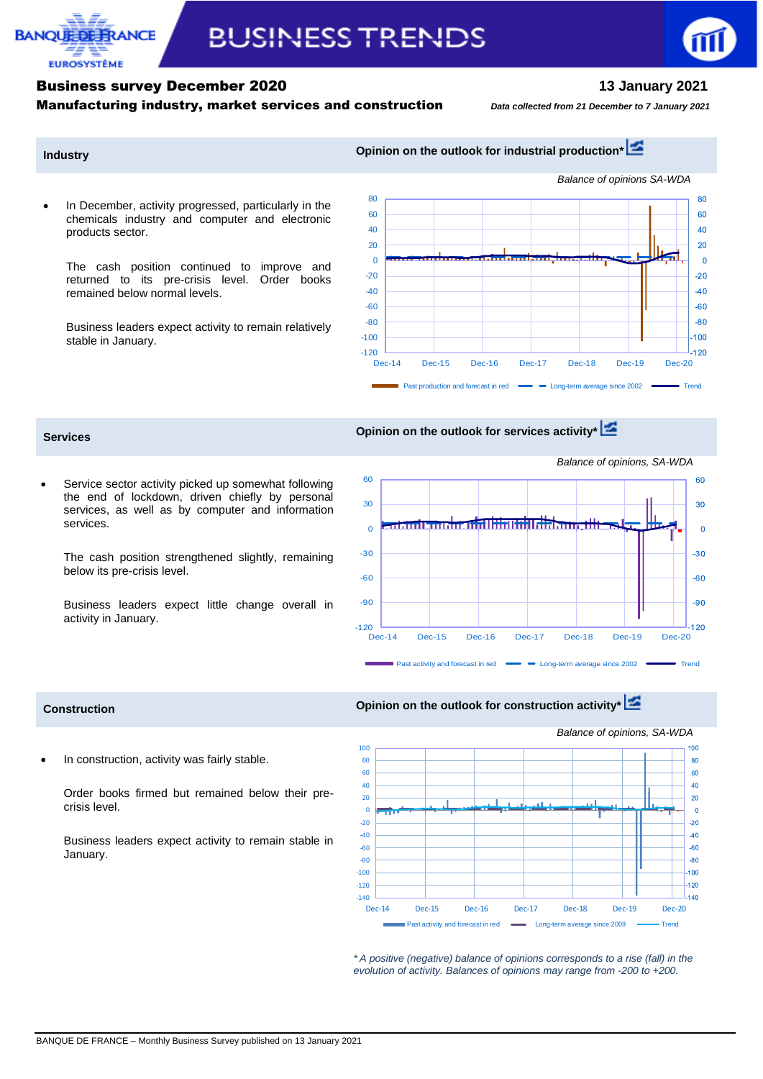

# **BUSINESS TRENDS**

# Business survey December 2020 **13 January 2021**

### Manufacturing industry, market services and construction*Data collected from 21 December to 7 January <sup>2021</sup>*

# **Industry Industry Opinion on the outlook for industrial production\***

 In December, activity progressed, particularly in the chemicals industry and computer and electronic products sector.

The cash position continued to improve and returned to its pre-crisis level. Order books remained below normal levels.

Business leaders expect activity to remain relatively stable in January.



# **Services Opinion on the outlook for services activity\***

- Service sector activity picked up somewhat following the end of lockdown, driven chiefly by personal services, as well as by computer and information services.
	- The cash position strengthened slightly, remaining below its pre-crisis level.
	- Business leaders expect little change overall in activity in January.



In construction, activity was fairly stable.

Order books firmed but remained below their precrisis level.

Business leaders expect activity to remain stable in January.





*\* A positive (negative) balance of opinions corresponds to a rise (fall) in the evolution of activity. Balances of opinions may range from -200 to +200.*

*Balance of opinions, SA-WDA*

BANQUE DE FRANCE – Monthly Business Survey published on 13 January 2021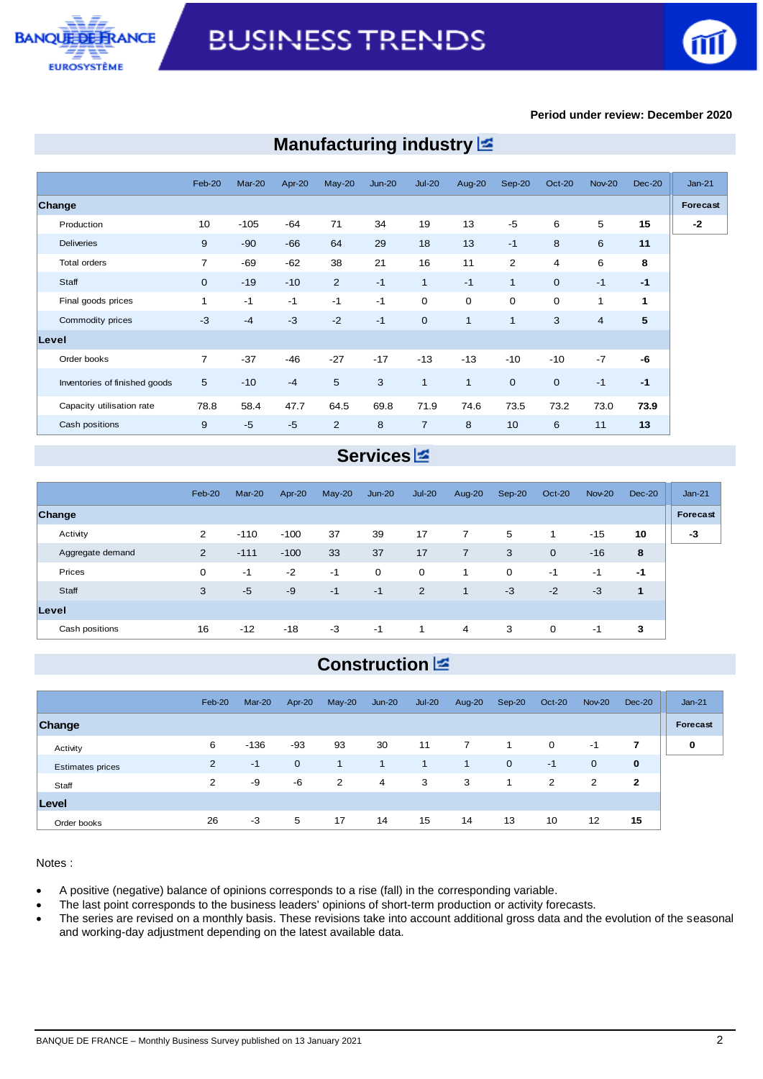



### **Period under review: December 2020**

|                               | Feb-20         | Mar-20 | Apr-20 | $May-20$       | $Jun-20$ | $Jul-20$       | Aug-20       | Sep-20         | Oct-20       | <b>Nov-20</b>  | $Dec-20$ | $Jan-21$ |
|-------------------------------|----------------|--------|--------|----------------|----------|----------------|--------------|----------------|--------------|----------------|----------|----------|
| Change                        |                |        |        |                |          |                |              |                |              |                |          | Forecast |
| Production                    | 10             | $-105$ | $-64$  | 71             | 34       | 19             | 13           | $-5$           | 6            | 5              | 15       | $-2$     |
| <b>Deliveries</b>             | 9              | $-90$  | $-66$  | 64             | 29       | 18             | 13           | $-1$           | 8            | 6              | 11       |          |
| Total orders                  | 7              | -69    | $-62$  | 38             | 21       | 16             | 11           | 2              | 4            | 6              | 8        |          |
| Staff                         | $\mathbf 0$    | $-19$  | $-10$  | $\overline{2}$ | $-1$     | $\mathbf{1}$   | $-1$         | $\mathbf{1}$   | $\mathbf{0}$ | $-1$           | $-1$     |          |
| Final goods prices            | 1              | $-1$   | $-1$   | $-1$           | $-1$     | 0              | $\mathbf 0$  | $\mathbf 0$    | $\mathbf 0$  | 1              | 1        |          |
| Commodity prices              | $-3$           | $-4$   | $-3$   | $-2$           | $-1$     | $\overline{0}$ | 1            | $\overline{1}$ | 3            | $\overline{4}$ | 5        |          |
| Level                         |                |        |        |                |          |                |              |                |              |                |          |          |
| Order books                   | $\overline{7}$ | $-37$  | $-46$  | $-27$          | $-17$    | $-13$          | $-13$        | $-10$          | $-10$        | $-7$           | -6       |          |
| Inventories of finished goods | 5              | $-10$  | $-4$   | 5              | 3        | $\mathbf{1}$   | $\mathbf{1}$ | $\overline{0}$ | $\mathbf{0}$ | $-1$           | $-1$     |          |
| Capacity utilisation rate     | 78.8           | 58.4   | 47.7   | 64.5           | 69.8     | 71.9           | 74.6         | 73.5           | 73.2         | 73.0           | 73.9     |          |
| Cash positions                | 9              | $-5$   | $-5$   | 2              | 8        | $\overline{7}$ | 8            | 10             | 6            | 11             | 13       |          |

# **Manufacturing industry**

# **Services**

|                  | Feb-20 | Mar-20 | Apr-20 | $May-20$ | $Jun-20$    | $Jul-20$     | Aug-20         | Sep-20      | Oct-20      | <b>Nov-20</b> | $Dec-20$ | $Jan-21$ |
|------------------|--------|--------|--------|----------|-------------|--------------|----------------|-------------|-------------|---------------|----------|----------|
| Change           |        |        |        |          |             |              |                |             |             |               |          | Forecast |
| Activity         | 2      | $-110$ | $-100$ | 37       | 39          | 17           | $\overline{7}$ | 5           | 1           | $-15$         | 10       | -3       |
| Aggregate demand | 2      | $-111$ | $-100$ | 33       | 37          | 17           | $\overline{7}$ | 3           | $\mathbf 0$ | $-16$         | 8        |          |
| Prices           | 0      | $-1$   | $-2$   | $-1$     | $\mathbf 0$ | $\mathbf{0}$ | -1             | $\mathbf 0$ | $-1$        | $-1$          | -1       |          |
| Staff            | 3      | $-5$   | -9     | $-1$     | $-1$        | 2            | $\overline{1}$ | $-3$        | $-2$        | $-3$          | 1        |          |
| Level            |        |        |        |          |             |              |                |             |             |               |          |          |
| Cash positions   | 16     | $-12$  | $-18$  | $-3$     | $-1$        | 1            | $\overline{4}$ | 3           | 0           | $-1$          | 3        |          |

# **Construction**

|                  | Feb-20 | Mar-20 | Apr-20      | $May-20$     | $Jun-20$       | $Jul-20$     | Aug-20         | Sep-20      | Oct-20 | <b>Nov-20</b> | Dec-20       | $Jan-21$        |
|------------------|--------|--------|-------------|--------------|----------------|--------------|----------------|-------------|--------|---------------|--------------|-----------------|
| Change           |        |        |             |              |                |              |                |             |        |               |              | <b>Forecast</b> |
| Activity         | 6      | $-136$ | $-93$       | 93           | 30             | 11           | $\overline{7}$ | -1          | 0      | $-1$          | 7            | 0               |
| Estimates prices | 2      | $-1$   | $\mathbf 0$ | $\mathbf{1}$ | 1              | $\mathbf{1}$ | $\mathbf{1}$   | $\mathbf 0$ | $-1$   | $\mathbf{0}$  | $\mathbf 0$  |                 |
| Staff            | 2      | -9     | -6          | 2            | $\overline{4}$ | 3            | 3              | -1          | 2      | 2             | $\mathbf{2}$ |                 |
| Level            |        |        |             |              |                |              |                |             |        |               |              |                 |
| Order books      | 26     | -3     | 5           | 17           | 14             | 15           | 14             | 13          | 10     | 12            | 15           |                 |

Notes :

A positive (negative) balance of opinions corresponds to a rise (fall) in the corresponding variable.

The last point corresponds to the business leaders' opinions of short-term production or activity forecasts.

• The series are revised on a monthly basis. These revisions take into account additional gross data and the evolution of the seasonal and working-day adjustment depending on the latest available data.